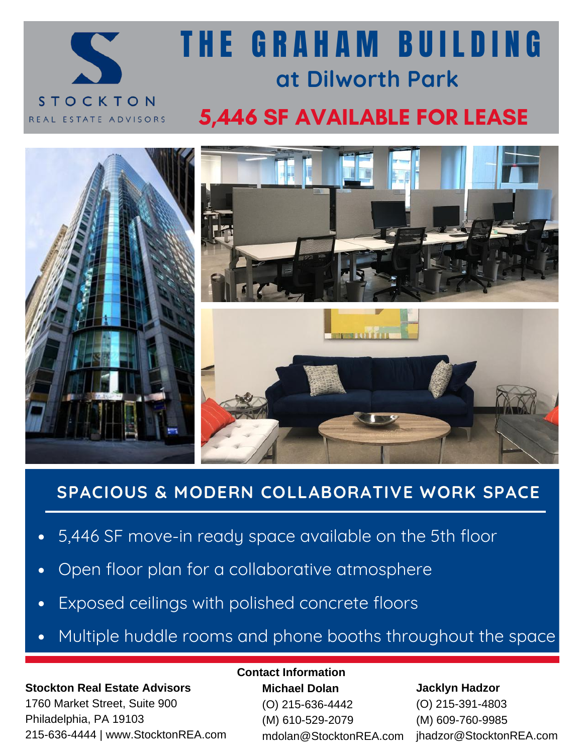

# **at Dilworth Park** T H E G R A H A M B U I L D I N G

## 5,446 SF AVAILABLE FOR LEASE



### **SPACIOUS & MODERN COLLABORATIVE WORK SPACE**

- 5,446 SF move-in ready space available on the 5th floor
- Open floor plan for a collaborative atmosphere  $\bullet$
- Exposed ceilings with polished concrete floors
- Multiple huddle rooms and phone booths throughout the space

#### **Stockton Real Estate Advisors**

1760 Market Street, Suite 900 Philadelphia, PA 19103 215-636-4444 | www.StocktonREA.com

#### **Contact Information**

**Michael Dolan** (O) 215-636-4442 (M) 610-529-2079 mdolan@StocktonREA.com

#### **Jacklyn Hadzor**

(O) 215-391-4803 (M) 609-760-9985 jhadzor@StocktonREA.com